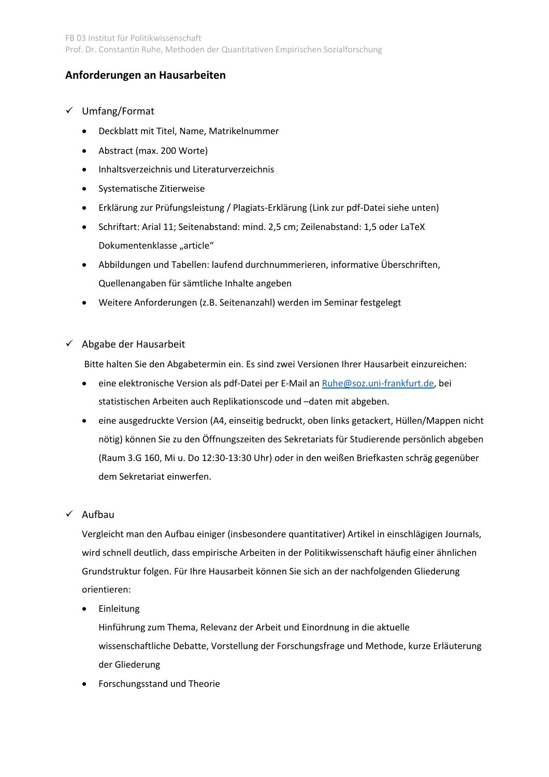# **Anforderungen an Hausarbeiten**

- $\checkmark$  Umfang/Format
	- Deckblatt mit Titel, Name, Matrikelnummer
	- Abstract (max. 200 Worte)
	- Inhaltsverzeichnis und Literaturverzeichnis
	- Systematische Zitierweise
	- Erklärung zur Prüfungsleistung / Plagiats-Erklärung (Link zur pdf-Datei siehe unten)
	- Schriftart: Arial 11; Seitenabstand: mind. 2,5 cm; Zeilenabstand: 1,5 oder LaTeX Dokumentenklasse "article"
	- Abbildungen und Tabellen: laufend durchnummerieren, informative Überschriften, Quellenangaben für sämtliche Inhalte angeben
	- Weitere Anforderungen (z.B. Seitenanzahl) werden im Seminar festgelegt

 $\checkmark$  Abgabe der Hausarbeit

Bitte halten Sie den Abgabetermin ein. Es sind zwei Versionen Ihrer Hausarbeit einzureichen:

- eine elektronische Version als pdf-Datei per E-Mail an Ruhe@soz.uni-frankfurt.de, bei statistischen Arbeiten auch Replikationscode und –daten mit abgeben.
- eine ausgedruckte Version (A4, einseitig bedruckt, oben links getackert, Hüllen/Mappen nicht nötig) können Sie zu den Öffnungszeiten des Sekretariats für Studierende persönlich abgeben (Raum 3.G 160, Mi u. Do 12:30-13:30 Uhr) oder in den weißen Briefkasten schräg gegenüber dem Sekretariat einwerfen.

## $\checkmark$  Aufbau

Vergleicht man den Aufbau einiger (insbesondere quantitativer) Artikel in einschlägigen Journals, wird schnell deutlich, dass empirische Arbeiten in der Politikwissenschaft häufig einer ähnlichen Grundstruktur folgen. Für Ihre Hausarbeit können Sie sich an der nachfolgenden Gliederung orientieren:

• Einleitung

Hinführung zum Thema, Relevanz der Arbeit und Einordnung in die aktuelle wissenschaftliche Debatte, Vorstellung der Forschungsfrage und Methode, kurze Erläuterung der Gliederung

• Forschungsstand und Theorie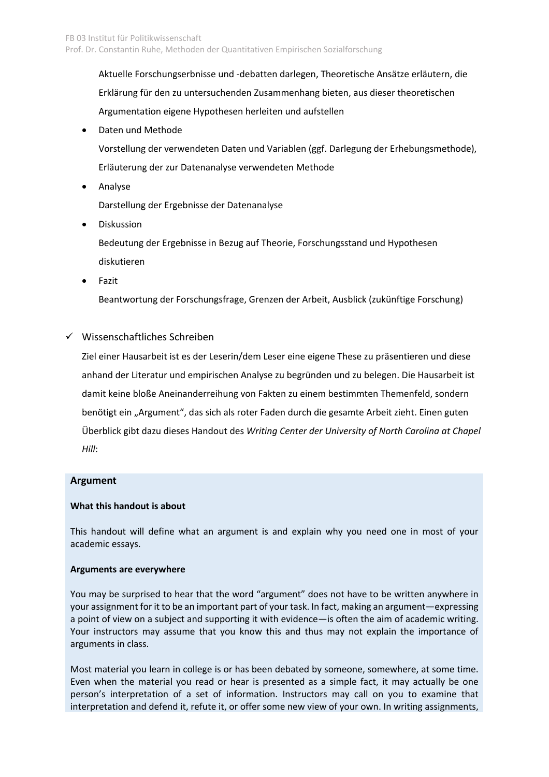Aktuelle Forschungserbnisse und -debatten darlegen, Theoretische Ansätze erläutern, die Erklärung für den zu untersuchenden Zusammenhang bieten, aus dieser theoretischen Argumentation eigene Hypothesen herleiten und aufstellen

• Daten und Methode

Vorstellung der verwendeten Daten und Variablen (ggf. Darlegung der Erhebungsmethode), Erläuterung der zur Datenanalyse verwendeten Methode

• Analyse

Darstellung der Ergebnisse der Datenanalyse

• Diskussion

Bedeutung der Ergebnisse in Bezug auf Theorie, Forschungsstand und Hypothesen diskutieren

• Fazit

Beantwortung der Forschungsfrage, Grenzen der Arbeit, Ausblick (zukünftige Forschung)

 $\checkmark$  Wissenschaftliches Schreiben

Ziel einer Hausarbeit ist es der Leserin/dem Leser eine eigene These zu präsentieren und diese anhand der Literatur und empirischen Analyse zu begründen und zu belegen. Die Hausarbeit ist damit keine bloße Aneinanderreihung von Fakten zu einem bestimmten Themenfeld, sondern benötigt ein "Argument", das sich als roter Faden durch die gesamte Arbeit zieht. Einen guten Überblick gibt dazu dieses Handout des *Writing Center der University of North Carolina at Chapel Hill*:

#### **Argument**

#### **What this handout is about**

This handout will define what an argument is and explain why you need one in most of your academic essays.

#### **Arguments are everywhere**

You may be surprised to hear that the word "argument" does not have to be written anywhere in your assignment for it to be an important part of your task. In fact, making an argument—expressing a point of view on a subject and supporting it with evidence—is often the aim of academic writing. Your instructors may assume that you know this and thus may not explain the importance of arguments in class.

Most material you learn in college is or has been debated by someone, somewhere, at some time. Even when the material you read or hear is presented as a simple fact, it may actually be one person's interpretation of a set of information. Instructors may call on you to examine that interpretation and defend it, refute it, or offer some new view of your own. In writing assignments,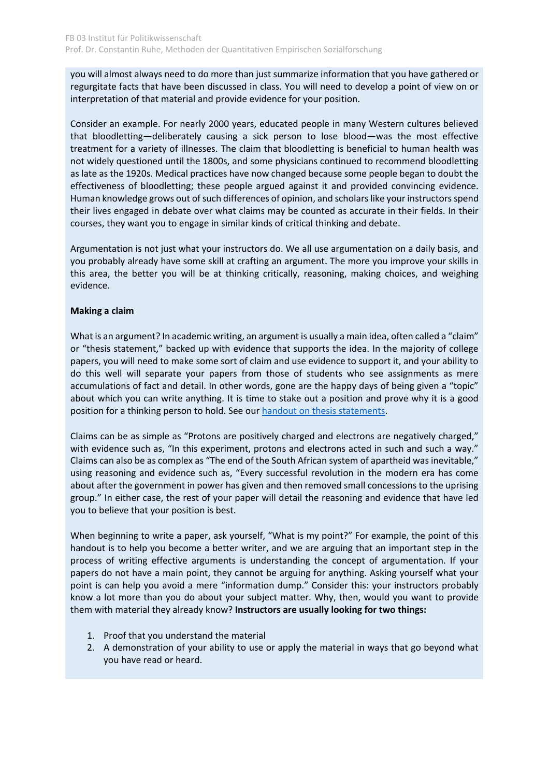you will almost always need to do more than just summarize information that you have gathered or regurgitate facts that have been discussed in class. You will need to develop a point of view on or interpretation of that material and provide evidence for your position.

Consider an example. For nearly 2000 years, educated people in many Western cultures believed that bloodletting—deliberately causing a sick person to lose blood—was the most effective treatment for a variety of illnesses. The claim that bloodletting is beneficial to human health was not widely questioned until the 1800s, and some physicians continued to recommend bloodletting as late as the 1920s. Medical practices have now changed because some people began to doubt the effectiveness of bloodletting; these people argued against it and provided convincing evidence. Human knowledge grows out of such differences of opinion, and scholars like your instructors spend their lives engaged in debate over what claims may be counted as accurate in their fields. In their courses, they want you to engage in similar kinds of critical thinking and debate.

Argumentation is not just what your instructors do. We all use argumentation on a daily basis, and you probably already have some skill at crafting an argument. The more you improve your skills in this area, the better you will be at thinking critically, reasoning, making choices, and weighing evidence.

#### **Making a claim**

What is an argument? In academic writing, an argument is usually a main idea, often called a "claim" or "thesis statement," backed up with evidence that supports the idea. In the majority of college papers, you will need to make some sort of claim and use evidence to support it, and your ability to do this well will separate your papers from those of students who see assignments as mere accumulations of fact and detail. In other words, gone are the happy days of being given a "topic" about which you can write anything. It is time to stake out a position and prove why it is a good position for a thinking person to hold. See our handout on thesis statements.

Claims can be as simple as "Protons are positively charged and electrons are negatively charged," with evidence such as, "In this experiment, protons and electrons acted in such and such a way." Claims can also be as complex as "The end of the South African system of apartheid was inevitable," using reasoning and evidence such as, "Every successful revolution in the modern era has come about after the government in power has given and then removed small concessions to the uprising group." In either case, the rest of your paper will detail the reasoning and evidence that have led you to believe that your position is best.

When beginning to write a paper, ask yourself, "What is my point?" For example, the point of this handout is to help you become a better writer, and we are arguing that an important step in the process of writing effective arguments is understanding the concept of argumentation. If your papers do not have a main point, they cannot be arguing for anything. Asking yourself what your point is can help you avoid a mere "information dump." Consider this: your instructors probably know a lot more than you do about your subject matter. Why, then, would you want to provide them with material they already know? **Instructors are usually looking for two things:**

- 1. Proof that you understand the material
- 2. A demonstration of your ability to use or apply the material in ways that go beyond what you have read or heard.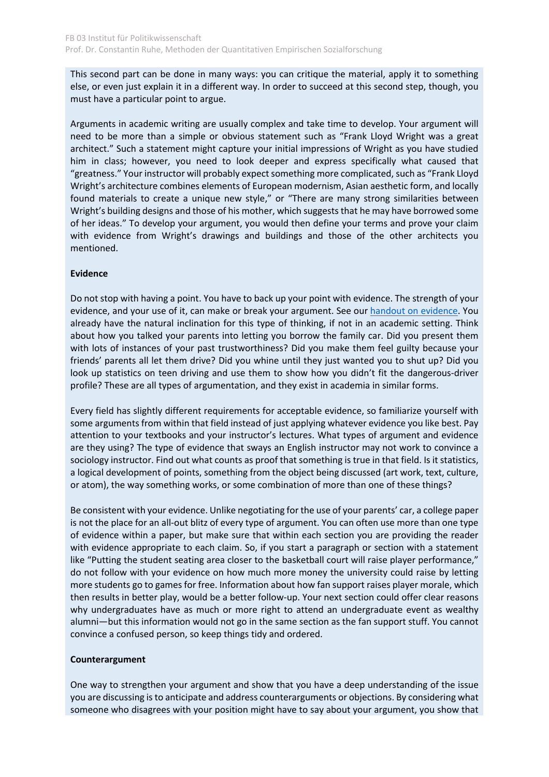This second part can be done in many ways: you can critique the material, apply it to something else, or even just explain it in a different way. In order to succeed at this second step, though, you must have a particular point to argue.

Arguments in academic writing are usually complex and take time to develop. Your argument will need to be more than a simple or obvious statement such as "Frank Lloyd Wright was a great architect." Such a statement might capture your initial impressions of Wright as you have studied him in class; however, you need to look deeper and express specifically what caused that "greatness." Your instructor will probably expect something more complicated, such as "Frank Lloyd Wright's architecture combines elements of European modernism, Asian aesthetic form, and locally found materials to create a unique new style," or "There are many strong similarities between Wright's building designs and those of his mother, which suggests that he may have borrowed some of her ideas." To develop your argument, you would then define your terms and prove your claim with evidence from Wright's drawings and buildings and those of the other architects you mentioned.

### **Evidence**

Do not stop with having a point. You have to back up your point with evidence. The strength of your evidence, and your use of it, can make or break your argument. See our handout on evidence. You already have the natural inclination for this type of thinking, if not in an academic setting. Think about how you talked your parents into letting you borrow the family car. Did you present them with lots of instances of your past trustworthiness? Did you make them feel guilty because your friends' parents all let them drive? Did you whine until they just wanted you to shut up? Did you look up statistics on teen driving and use them to show how you didn't fit the dangerous-driver profile? These are all types of argumentation, and they exist in academia in similar forms.

Every field has slightly different requirements for acceptable evidence, so familiarize yourself with some arguments from within that field instead of just applying whatever evidence you like best. Pay attention to your textbooks and your instructor's lectures. What types of argument and evidence are they using? The type of evidence that sways an English instructor may not work to convince a sociology instructor. Find out what counts as proof that something is true in that field. Is it statistics, a logical development of points, something from the object being discussed (art work, text, culture, or atom), the way something works, or some combination of more than one of these things?

Be consistent with your evidence. Unlike negotiating for the use of your parents' car, a college paper is not the place for an all-out blitz of every type of argument. You can often use more than one type of evidence within a paper, but make sure that within each section you are providing the reader with evidence appropriate to each claim. So, if you start a paragraph or section with a statement like "Putting the student seating area closer to the basketball court will raise player performance," do not follow with your evidence on how much more money the university could raise by letting more students go to games for free. Information about how fan support raises player morale, which then results in better play, would be a better follow-up. Your next section could offer clear reasons why undergraduates have as much or more right to attend an undergraduate event as wealthy alumni—but this information would not go in the same section as the fan support stuff. You cannot convince a confused person, so keep things tidy and ordered.

#### **Counterargument**

One way to strengthen your argument and show that you have a deep understanding of the issue you are discussing is to anticipate and address counterarguments or objections. By considering what someone who disagrees with your position might have to say about your argument, you show that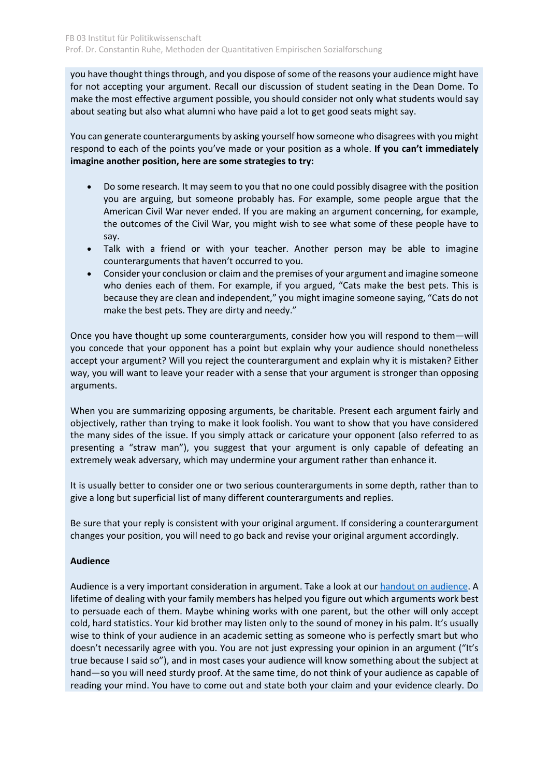you have thought things through, and you dispose of some of the reasons your audience might have for not accepting your argument. Recall our discussion of student seating in the Dean Dome. To make the most effective argument possible, you should consider not only what students would say about seating but also what alumni who have paid a lot to get good seats might say.

You can generate counterarguments by asking yourself how someone who disagrees with you might respond to each of the points you've made or your position as a whole. **If you can't immediately imagine another position, here are some strategies to try:**

- Do some research. It may seem to you that no one could possibly disagree with the position you are arguing, but someone probably has. For example, some people argue that the American Civil War never ended. If you are making an argument concerning, for example, the outcomes of the Civil War, you might wish to see what some of these people have to say.
- Talk with a friend or with your teacher. Another person may be able to imagine counterarguments that haven't occurred to you.
- Consider your conclusion or claim and the premises of your argument and imagine someone who denies each of them. For example, if you argued, "Cats make the best pets. This is because they are clean and independent," you might imagine someone saying, "Cats do not make the best pets. They are dirty and needy."

Once you have thought up some counterarguments, consider how you will respond to them—will you concede that your opponent has a point but explain why your audience should nonetheless accept your argument? Will you reject the counterargument and explain why it is mistaken? Either way, you will want to leave your reader with a sense that your argument is stronger than opposing arguments.

When you are summarizing opposing arguments, be charitable. Present each argument fairly and objectively, rather than trying to make it look foolish. You want to show that you have considered the many sides of the issue. If you simply attack or caricature your opponent (also referred to as presenting a "straw man"), you suggest that your argument is only capable of defeating an extremely weak adversary, which may undermine your argument rather than enhance it.

It is usually better to consider one or two serious counterarguments in some depth, rather than to give a long but superficial list of many different counterarguments and replies.

Be sure that your reply is consistent with your original argument. If considering a counterargument changes your position, you will need to go back and revise your original argument accordingly.

## **Audience**

Audience is a very important consideration in argument. Take a look at our handout on audience. A lifetime of dealing with your family members has helped you figure out which arguments work best to persuade each of them. Maybe whining works with one parent, but the other will only accept cold, hard statistics. Your kid brother may listen only to the sound of money in his palm. It's usually wise to think of your audience in an academic setting as someone who is perfectly smart but who doesn't necessarily agree with you. You are not just expressing your opinion in an argument ("It's true because I said so"), and in most cases your audience will know something about the subject at hand—so you will need sturdy proof. At the same time, do not think of your audience as capable of reading your mind. You have to come out and state both your claim and your evidence clearly. Do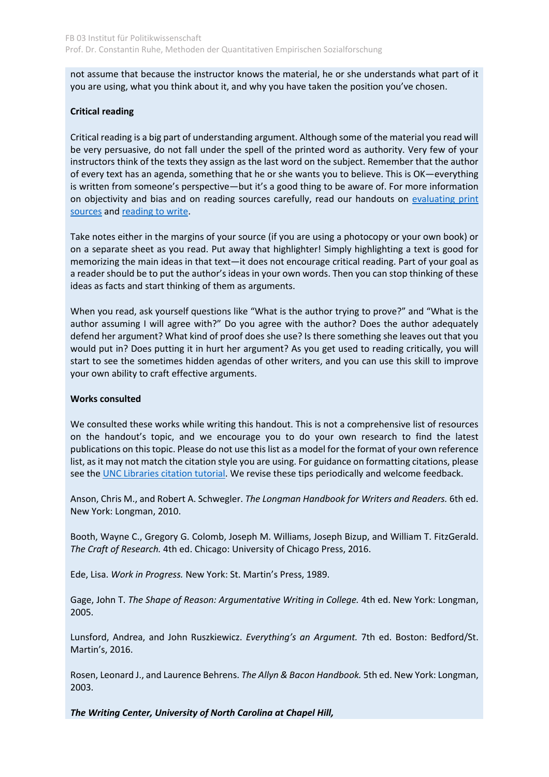not assume that because the instructor knows the material, he or she understands what part of it you are using, what you think about it, and why you have taken the position you've chosen.

### **Critical reading**

Critical reading is a big part of understanding argument. Although some of the material you read will be very persuasive, do not fall under the spell of the printed word as authority. Very few of your instructors think of the texts they assign as the last word on the subject. Remember that the author of every text has an agenda, something that he or she wants you to believe. This is OK—everything is written from someone's perspective—but it's a good thing to be aware of. For more information on objectivity and bias and on reading sources carefully, read our handouts on evaluating print sources and reading to write.

Take notes either in the margins of your source (if you are using a photocopy or your own book) or on a separate sheet as you read. Put away that highlighter! Simply highlighting a text is good for memorizing the main ideas in that text—it does not encourage critical reading. Part of your goal as a reader should be to put the author's ideas in your own words. Then you can stop thinking of these ideas as facts and start thinking of them as arguments.

When you read, ask yourself questions like "What is the author trying to prove?" and "What is the author assuming I will agree with?" Do you agree with the author? Does the author adequately defend her argument? What kind of proof does she use? Is there something she leaves out that you would put in? Does putting it in hurt her argument? As you get used to reading critically, you will start to see the sometimes hidden agendas of other writers, and you can use this skill to improve your own ability to craft effective arguments.

#### **Works consulted**

We consulted these works while writing this handout. This is not a comprehensive list of resources on the handout's topic, and we encourage you to do your own research to find the latest publications on this topic. Please do not use this list as a model for the format of your own reference list, as it may not match the citation style you are using. For guidance on formatting citations, please see the UNC Libraries citation tutorial. We revise these tips periodically and welcome feedback.

Anson, Chris M., and Robert A. Schwegler. *The Longman Handbook for Writers and Readers.* 6th ed. New York: Longman, 2010.

Booth, Wayne C., Gregory G. Colomb, Joseph M. Williams, Joseph Bizup, and William T. FitzGerald. *The Craft of Research.* 4th ed. Chicago: University of Chicago Press, 2016.

Ede, Lisa. *Work in Progress.* New York: St. Martin's Press, 1989.

Gage, John T. *The Shape of Reason: Argumentative Writing in College.* 4th ed. New York: Longman, 2005.

Lunsford, Andrea, and John Ruszkiewicz. *Everything's an Argument.* 7th ed. Boston: Bedford/St. Martin's, 2016.

Rosen, Leonard J., and Laurence Behrens. *The Allyn & Bacon Handbook.* 5th ed. New York: Longman, 2003.

*The Writing Center, University of North Carolina at Chapel Hill,*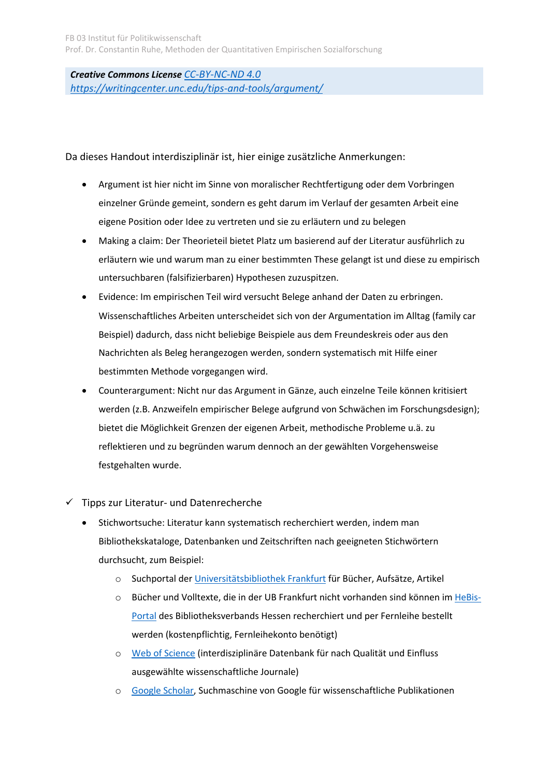*Creative Commons License CC-BY-NC-ND 4.0 https://writingcenter.unc.edu/tips-and-tools/argument/*

Da dieses Handout interdisziplinär ist, hier einige zusätzliche Anmerkungen:

- Argument ist hier nicht im Sinne von moralischer Rechtfertigung oder dem Vorbringen einzelner Gründe gemeint, sondern es geht darum im Verlauf der gesamten Arbeit eine eigene Position oder Idee zu vertreten und sie zu erläutern und zu belegen
- Making a claim: Der Theorieteil bietet Platz um basierend auf der Literatur ausführlich zu erläutern wie und warum man zu einer bestimmten These gelangt ist und diese zu empirisch untersuchbaren (falsifizierbaren) Hypothesen zuzuspitzen.
- Evidence: Im empirischen Teil wird versucht Belege anhand der Daten zu erbringen. Wissenschaftliches Arbeiten unterscheidet sich von der Argumentation im Alltag (family car Beispiel) dadurch, dass nicht beliebige Beispiele aus dem Freundeskreis oder aus den Nachrichten als Beleg herangezogen werden, sondern systematisch mit Hilfe einer bestimmten Methode vorgegangen wird.
- Counterargument: Nicht nur das Argument in Gänze, auch einzelne Teile können kritisiert werden (z.B. Anzweifeln empirischer Belege aufgrund von Schwächen im Forschungsdesign); bietet die Möglichkeit Grenzen der eigenen Arbeit, methodische Probleme u.ä. zu reflektieren und zu begründen warum dennoch an der gewählten Vorgehensweise festgehalten wurde.
- $\checkmark$  Tipps zur Literatur- und Datenrecherche
	- Stichwortsuche: Literatur kann systematisch recherchiert werden, indem man Bibliothekskataloge, Datenbanken und Zeitschriften nach geeigneten Stichwörtern durchsucht, zum Beispiel:
		- o Suchportal der Universitätsbibliothek Frankfurt für Bücher, Aufsätze, Artikel
		- o Bücher und Volltexte, die in der UB Frankfurt nicht vorhanden sind können im HeBis-Portal des Bibliotheksverbands Hessen recherchiert und per Fernleihe bestellt werden (kostenpflichtig, Fernleihekonto benötigt)
		- o Web of Science (interdisziplinäre Datenbank für nach Qualität und Einfluss ausgewählte wissenschaftliche Journale)
		- o Google Scholar, Suchmaschine von Google für wissenschaftliche Publikationen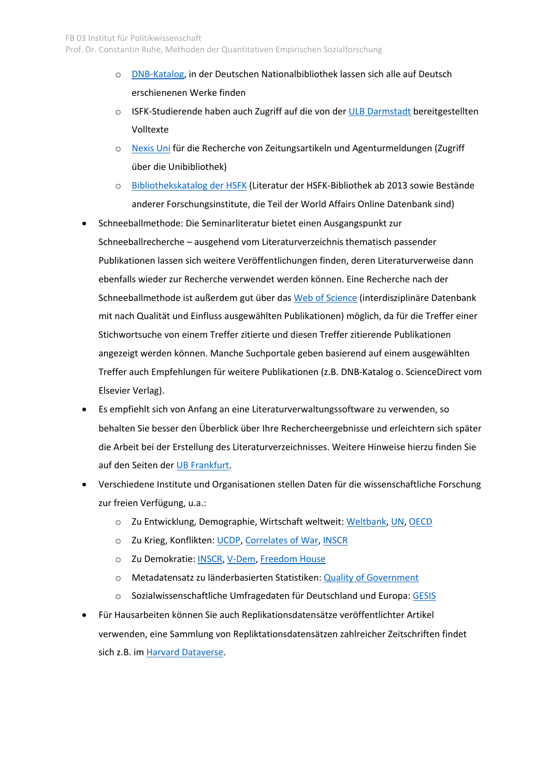- o DNB-Katalog, in der Deutschen Nationalbibliothek lassen sich alle auf Deutsch erschienenen Werke finden
- o ISFK-Studierende haben auch Zugriff auf die von der ULB Darmstadt bereitgestellten Volltexte
- o Nexis Uni für die Recherche von Zeitungsartikeln und Agenturmeldungen (Zugriff über die Unibibliothek)
- o Bibliothekskatalog der HSFK (Literatur der HSFK-Bibliothek ab 2013 sowie Bestände anderer Forschungsinstitute, die Teil der World Affairs Online Datenbank sind)
- Schneeballmethode: Die Seminarliteratur bietet einen Ausgangspunkt zur Schneeballrecherche – ausgehend vom Literaturverzeichnis thematisch passender Publikationen lassen sich weitere Veröffentlichungen finden, deren Literaturverweise dann ebenfalls wieder zur Recherche verwendet werden können. Eine Recherche nach der Schneeballmethode ist außerdem gut über das Web of Science (interdisziplinäre Datenbank mit nach Qualität und Einfluss ausgewählten Publikationen) möglich, da für die Treffer einer Stichwortsuche von einem Treffer zitierte und diesen Treffer zitierende Publikationen angezeigt werden können. Manche Suchportale geben basierend auf einem ausgewählten Treffer auch Empfehlungen für weitere Publikationen (z.B. DNB-Katalog o. ScienceDirect vom Elsevier Verlag).
- Es empfiehlt sich von Anfang an eine Literaturverwaltungssoftware zu verwenden, so behalten Sie besser den Überblick über Ihre Rechercheergebnisse und erleichtern sich später die Arbeit bei der Erstellung des Literaturverzeichnisses. Weitere Hinweise hierzu finden Sie auf den Seiten der UB Frankfurt.
- Verschiedene Institute und Organisationen stellen Daten für die wissenschaftliche Forschung zur freien Verfügung, u.a.:
	- o Zu Entwicklung, Demographie, Wirtschaft weltweit: Weltbank, UN, OECD
	- o Zu Krieg, Konflikten: UCDP, Correlates of War, INSCR
	- o Zu Demokratie: INSCR, V-Dem, Freedom House
	- o Metadatensatz zu länderbasierten Statistiken: Quality of Government
	- o Sozialwissenschaftliche Umfragedaten für Deutschland und Europa: GESIS
- Für Hausarbeiten können Sie auch Replikationsdatensätze veröffentlichter Artikel verwenden, eine Sammlung von Repliktationsdatensätzen zahlreicher Zeitschriften findet sich z.B. im Harvard Dataverse.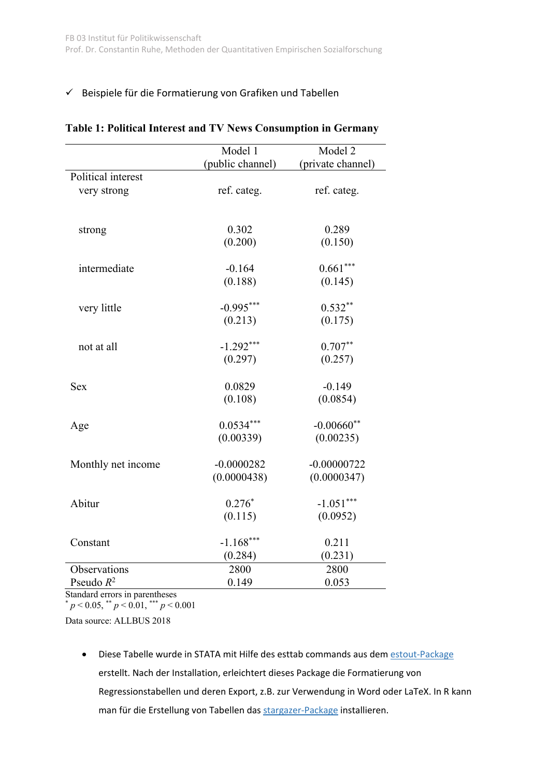# $\checkmark$  Beispiele für die Formatierung von Grafiken und Tabellen

|                    | Model 1          | Model 2           |
|--------------------|------------------|-------------------|
|                    | (public channel) | (private channel) |
| Political interest |                  |                   |
| very strong        | ref. categ.      | ref. categ.       |
|                    |                  |                   |
| strong             | 0.302            | 0.289             |
|                    | (0.200)          | (0.150)           |
|                    |                  |                   |
| intermediate       | $-0.164$         | $0.661***$        |
|                    | (0.188)          | (0.145)           |
|                    |                  |                   |
| very little        | $-0.995***$      | $0.532**$         |
|                    | (0.213)          | (0.175)           |
|                    |                  |                   |
| not at all         | $-1.292***$      | $0.707**$         |
|                    | (0.297)          | (0.257)           |
|                    |                  |                   |
| <b>Sex</b>         | 0.0829           | $-0.149$          |
|                    | (0.108)          | (0.0854)          |
| Age                | $0.0534***$      | $-0.00660**$      |
|                    | (0.00339)        | (0.00235)         |
|                    |                  |                   |
| Monthly net income | $-0.0000282$     | $-0.00000722$     |
|                    | (0.0000438)      | (0.0000347)       |
|                    |                  |                   |
| Abitur             | $0.276*$         | $-1.051***$       |
|                    | (0.115)          | (0.0952)          |
| Constant           | $-1.168***$      | 0.211             |
|                    | (0.284)          | (0.231)           |
| Observations       | 2800             | 2800              |
| Pseudo $R^2$       | 0.149            | 0.053             |

## **Table 1: Political Interest and TV News Consumption in Germany**

Standard errors in parentheses

\* *p* < 0.05, \*\* *p* < 0.01, \*\*\* *p* < 0.001

Data source: ALLBUS 2018

• Diese Tabelle wurde in STATA mit Hilfe des esttab commands aus dem estout-Package erstellt. Nach der Installation, erleichtert dieses Package die Formatierung von Regressionstabellen und deren Export, z.B. zur Verwendung in Word oder LaTeX. In R kann man für die Erstellung von Tabellen das stargazer-Package installieren.